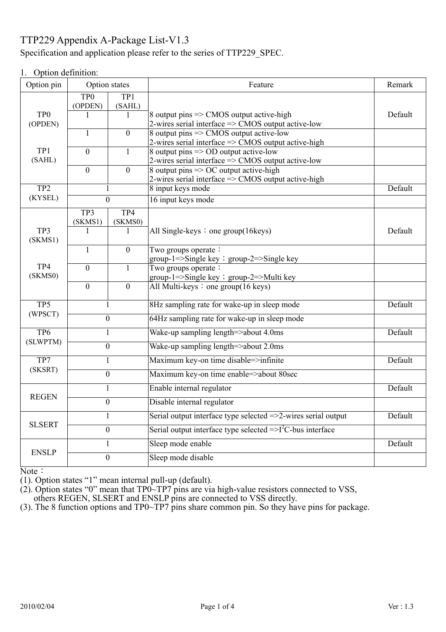# TTP229 Appendix A-Package List-V1.3

## Specification and application please refer to the series of TTP229\_SPEC.

### 1. Option definition:

| Option pin                  |                            | Option states  | Feature                                                                                                             | Remark  |
|-----------------------------|----------------------------|----------------|---------------------------------------------------------------------------------------------------------------------|---------|
|                             | TP <sub>0</sub><br>(OPDEN) | TP1<br>(SAHL)  |                                                                                                                     |         |
| TP <sub>0</sub>             | 1                          |                | 8 output pins $\Rightarrow$ CMOS output active-high                                                                 | Default |
| (OPDEN)                     | 1                          | $\overline{0}$ | 2-wires serial interface $\Rightarrow$ CMOS output active-low<br>8 output pins $\Rightarrow$ CMOS output active-low |         |
|                             |                            |                | 2-wires serial interface => CMOS output active-high                                                                 |         |
| TP1<br>(SAHL)               | $\overline{0}$             | $\mathbf{1}$   | 8 output pins $\Rightarrow$ OD output active-low<br>2-wires serial interface $\Rightarrow$ CMOS output active-low   |         |
|                             | $\overline{0}$             | $\overline{0}$ | 8 output pins $\Rightarrow$ OC output active-high                                                                   |         |
|                             |                            |                |                                                                                                                     |         |
| TP <sub>2</sub>             |                            | 1              | 8 input keys mode                                                                                                   | Default |
| (KYSEL)                     |                            | $\overline{0}$ | 16 input keys mode                                                                                                  |         |
|                             | TP3                        | TP4            |                                                                                                                     |         |
|                             | (SKMS1)                    | (SKMS0)        |                                                                                                                     |         |
| TP3<br>(SKMS1)              | 1                          | 1              | All Single-keys $:$ one group(16 keys)                                                                              | Default |
|                             | $\mathbf{1}$               | $\overline{0}$ | Two groups operate:                                                                                                 |         |
|                             |                            |                | group-1=>Single key ; group-2=>Single key                                                                           |         |
| TP4                         | $\theta$                   | $\mathbf{1}$   | Two groups operate:                                                                                                 |         |
| (SKMS0)                     |                            |                | group-1=>Single key ; group-2=>Multi key<br>All Multi-keys : one group(16 keys)                                     |         |
|                             | $\mathbf{0}$               | $\overline{0}$ |                                                                                                                     |         |
| TP <sub>5</sub><br>(WPSCT)  | 1                          |                | 8Hz sampling rate for wake-up in sleep mode                                                                         | Default |
|                             | $\overline{0}$             |                | 64Hz sampling rate for wake-up in sleep mode                                                                        |         |
| TP <sub>6</sub><br>(SLWPTM) | $\mathbf{1}$               |                | Wake-up sampling length=>about 4.0ms                                                                                | Default |
|                             | $\boldsymbol{0}$           |                | Wake-up sampling length=>about 2.0ms                                                                                |         |
| TP7<br>(SKSRT)              | $\mathbf{1}$               |                | Maximum key-on time disable=>infinite                                                                               | Default |
|                             | $\boldsymbol{0}$           |                | Maximum key-on time enable=>about 80sec                                                                             |         |
| <b>REGEN</b>                | $\mathbf{1}$               |                | Enable internal regulator                                                                                           | Default |
|                             | $\overline{0}$             |                | Disable internal regulator                                                                                          |         |
| <b>SLSERT</b>               | $\mathbf{1}$               |                | Serial output interface type selected =>2-wires serial output                                                       | Default |
|                             | $\boldsymbol{0}$           |                | Serial output interface type selected $\equiv >1^2C$ -bus interface                                                 |         |
| <b>ENSLP</b>                | $\mathbf{1}$               |                | Sleep mode enable                                                                                                   | Default |
|                             |                            | $\mathbf{0}$   | Sleep mode disable                                                                                                  |         |

Note:

(1). Option states "1" mean internal pull-up (default).

(2). Option states "0" mean that  $TP0~TP7$  pins are via high-value resistors connected to VSS,

others REGEN, SLSERT and ENSLP pins are connected to VSS directly.

(3). The 8 function options and TP0~TP7 pins share common pin. So they have pins for package.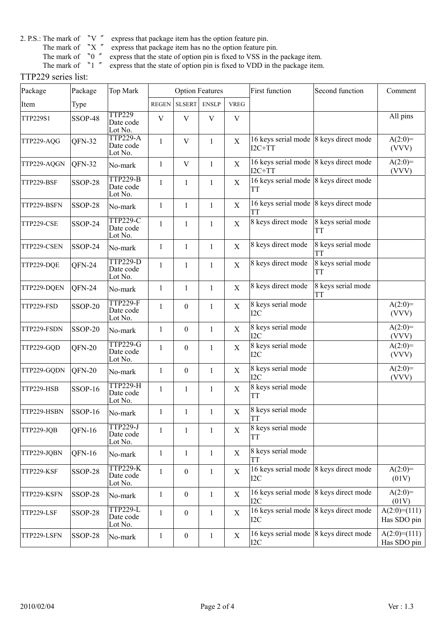- 
- express that package item has no the option feature pin.
- 
- 2. P.S.: The mark of  $\ ^{^{\infty}}V$   $^{\prime\prime}$  express that package item has the option feature pin.<br>The mark of  $\ ^{^{\infty}}X$   $^{\prime\prime}$  express that package item has no the option feature p<br>The mark of  $\ ^{^{\infty}}0$   $^{\prime\prime}$  expre  $\frac{1}{1}$  express that the state of option pin is fixed to VSS in the package item.
	- Express that the state of option pin is fixed to VDD in the package item.

#### TTP229 series list:

| Package     | Package        | Top Mark                                | <b>Option Features</b> |                  |              |             | <b>First function</b>                              | Second function                 | Comment                       |
|-------------|----------------|-----------------------------------------|------------------------|------------------|--------------|-------------|----------------------------------------------------|---------------------------------|-------------------------------|
| Item        | Type           |                                         | <b>REGEN</b>           | <b>SLSERT</b>    | <b>ENSLP</b> | <b>VREG</b> |                                                    |                                 |                               |
| TTP229S1    | SSOP-48        | <b>TTP229</b><br>Date code<br>Lot No.   | V                      | $\mathbf V$      | $\mathbf{V}$ | $\mathbf V$ |                                                    |                                 | All pins                      |
| TTP229-AQG  | QFN-32         | <b>TTP229-A</b><br>Date code<br>Lot No. | $\mathbf{1}$           | $\mathbf{V}$     | $\mathbf{1}$ | $\mathbf X$ | 16 keys serial mode 8 keys direct mode<br>$I2C+TT$ |                                 | $A(2:0)=$<br>(VVV)            |
| TTP229-AQGN | QFN-32         | No-mark                                 | $\mathbf{1}$           | V                | $\mathbf{1}$ | $\mathbf X$ | 16 keys serial mode 8 keys direct mode<br>$I2C+TT$ |                                 | $A(2:0)=$<br>(VVV)            |
| TTP229-BSF  | SSOP-28        | <b>TTP229-B</b><br>Date code<br>Lot No. | $\mathbf{1}$           | $\mathbf{1}$     | $\mathbf{1}$ | $\mathbf X$ | 16 keys serial mode 8 keys direct mode<br>TT       |                                 |                               |
| TTP229-BSFN | <b>SSOP-28</b> | No-mark                                 | $\mathbf{1}$           | $\mathbf{1}$     | $\mathbf{1}$ | $\mathbf X$ | 16 keys serial mode 8 keys direct mode<br>TT       |                                 |                               |
| TTP229-CSE  | SSOP-24        | <b>TTP229-C</b><br>Date code<br>Lot No. | $\mathbf{1}$           | $\mathbf{1}$     | $\mathbf{1}$ | $\mathbf X$ | 8 keys direct mode                                 | 8 keys serial mode<br>TT        |                               |
| TTP229-CSEN | SSOP-24        | No-mark                                 | $\mathbf{1}$           | 1                | $\mathbf{1}$ | X           | 8 keys direct mode                                 | 8 keys serial mode<br>TT        |                               |
| TTP229-DQE  | QFN-24         | <b>TTP229-D</b><br>Date code<br>Lot No. | $\mathbf{1}$           | $\mathbf{1}$     | $\mathbf{1}$ | $\mathbf X$ | 8 keys direct mode                                 | 8 keys serial mode<br><b>TT</b> |                               |
| TTP229-DQEN | QFN-24         | No-mark                                 | $\mathbf{1}$           | 1                | $\mathbf{1}$ | $\mathbf X$ | 8 keys direct mode                                 | 8 keys serial mode<br>ТT        |                               |
| TTP229-FSD  | SSOP-20        | <b>TTP229-F</b><br>Date code<br>Lot No. | $\mathbf{1}$           | $\boldsymbol{0}$ | $\mathbf{1}$ | $\mathbf X$ | 8 keys serial mode<br>I2C                          |                                 | $A(2:0)=$<br>(VVV)            |
| TTP229-FSDN | <b>SSOP-20</b> | No-mark                                 | 1                      | $\boldsymbol{0}$ | $\mathbf{1}$ | X           | 8 keys serial mode<br>12C                          |                                 | $A(2:0)=$<br>(VVV)            |
| TTP229-GQD  | $QFN-20$       | <b>TTP229-G</b><br>Date code<br>Lot No. | $\mathbf{1}$           | $\mathbf{0}$     | $\mathbf{1}$ | X           | 8 keys serial mode<br>12C                          |                                 | $A(2:0)=$<br>(VVV)            |
| TTP229-GQDN | QFN-20         | No-mark                                 | $\mathbf{1}$           | $\boldsymbol{0}$ | $\mathbf{1}$ | X           | 8 keys serial mode<br>12C                          |                                 | $A(2:0)=$<br>(VVV)            |
| TTP229-HSB  | <b>SSOP-16</b> | <b>TTP229-H</b><br>Date code<br>Lot No. | $\mathbf{1}$           | $\mathbf{1}$     | $\mathbf{1}$ | $\mathbf X$ | 8 keys serial mode<br>TT                           |                                 |                               |
| TTP229-HSBN | <b>SSOP-16</b> | No-mark                                 | $\mathbf{1}$           | $\mathbf{1}$     | $\mathbf{1}$ | $\mathbf X$ | 8 keys serial mode<br>TT                           |                                 |                               |
| TTP229-JQB  | QFN-16         | <b>TTP229-J</b><br>Date code<br>Lot No. | $\mathbf{1}$           | $\mathbf{1}$     | $\mathbf{1}$ | X           | 8 keys serial mode<br>TT                           |                                 |                               |
| TTP229-JQBN | $QFN-16$       | No-mark                                 | $\mathbf{1}$           | $\mathbf{1}$     | $\mathbf{1}$ | X           | 8 keys serial mode<br>TT                           |                                 |                               |
| TTP229-KSF  | SSOP-28        | <b>TTP229-K</b><br>Date code<br>Lot No. | $\mathbf{1}$           | $\boldsymbol{0}$ | $\mathbf{1}$ | $\mathbf X$ | 16 keys serial mode 8 keys direct mode<br>12C      |                                 | $A(2:0)=$<br>(01V)            |
| TTP229-KSFN | SSOP-28        | No-mark                                 | $\mathbf{1}$           | $\boldsymbol{0}$ | $\mathbf{1}$ | X           | 16 keys serial mode 8 keys direct mode<br>12C      |                                 | $A(2:0)=$<br>(01V)            |
| TTP229-LSF  | SSOP-28        | <b>TTP229-L</b><br>Date code<br>Lot No. | $\mathbf{1}$           | $\boldsymbol{0}$ | $\mathbf{1}$ | X           | 16 keys serial mode 8 keys direct mode<br>I2C      |                                 | $A(2:0)=(111)$<br>Has SDO pin |
| TTP229-LSFN | SSOP-28        | No-mark                                 | $\mathbf{1}$           | $\boldsymbol{0}$ | $\mathbf{1}$ | X           | 16 keys serial mode 8 keys direct mode<br>12C      |                                 | $A(2:0)=(111)$<br>Has SDO pin |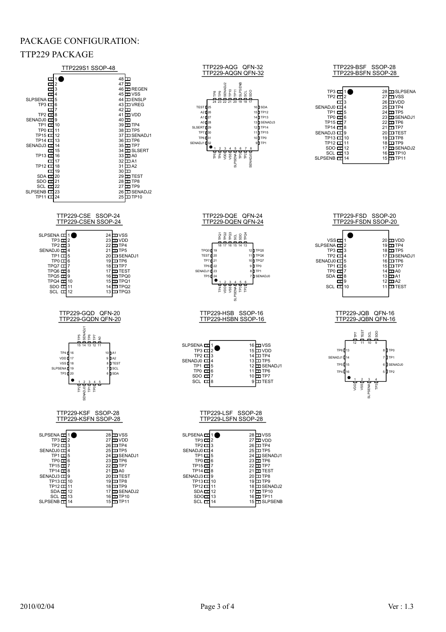### PACKAGE CONFIGURATION:



SENADJ1<br>TP6

VSS<br>VDD<br>TP4<br>TP5

TP7

A0 A1

TP7

VDD TP4 TP5 SENADJ1